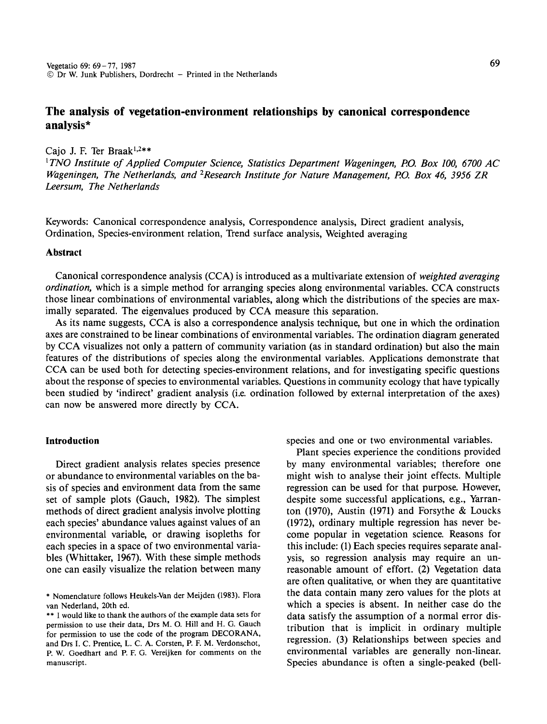# **The analysis of vegetation-environment relationships by canonical correspondence analysis\***

# Cajo J. F. Ter Braak $1,2**$

<sup>1</sup>*TNO Institute of Applied Computer Science, Statistics Department Wageningen, P.O. Box 100, 6700 AC*  Wageningen, The Netherlands, and <sup>2</sup> Research Institute for Nature Management, P.O. Box 46, 3956 ZR *Leersum, The Netherlands* 

Keywords: Canonical correspondence analysis, Correspondence analysis, Direct gradient analysis, Ordination, Species-environment relation, Trend surface analysis, Weighted averaging

# **Abstract**

Canonical correspondence analysis (CCA) is introduced as a multivariate extension of *weighted averaging ordination,* which is a simple method for arranging species along environmental variables. CCA constructs those linear combinations of environmental variables, along which the distributions of the species are maximally separated. The eigenvalues produced by CCA measure this separation.

As its name suggests, CCA is also a correspondence analysis technique, but one in which the ordination axes are constrained to be linear combinations of environmental variables. The ordination diagram generated by CCA visualizes not only a pattern of community variation (as in standard ordination) but also the main features of the distributions of species along the environmental variables. Applications demonstrate that CCA can be used both for detecting species-environment relations, and for investigating specific questions about the response of species to environmental variables. Questions in community ecology that have typically been studied by 'indirect' gradient analysis (i.e. ordination followed by external interpretation of the axes) can now be answered more directly by CCA.

### **Introduction**

Direct gradient analysis relates species presence or abundance to environmental variables on the basis of species and environment data from the same set of sample plots (Gauch, 1982). The simplest methods of direct gradient analysis involve plotting each species' abundance values against values of an environmental variable, or drawing isopleths for each species in a space of two environmental variables (Whittaker, 1967). With these simple methods one can easily visualize the relation between many species and one or two environmental variables.

Plant species experience the conditions provided by many environmental variables; therefore one might wish to analyse their joint effects. Multiple regression can be used for that purpose. However, despite some successful applications, e.g., Yarranton (1970), Austin (1971) and Forsythe & Loucks (1972), ordinary multiple regression has never become popular in vegetation science. Reasons for this include: (1) Each species requires separate analysis, so regression analysis may require an unreasonable amount of effort. (2) Vegetation data are often qualitative, or when they are quantitative the data contain many zero values for the plots at which a species is absent. In neither case do the data satisfy the assumption of a normal error distribution that is implicit in ordinary multiple regression. (3) Relationships between species and environmental variables are generally non-linear. Species abundance is often a single-peaked (bell-

<sup>•</sup> Nomenclature follows Heukels-Van der Meijden (1983). Flora van Nederland, 20th ed.

<sup>••</sup> I would like to thank the authors of the example data sets for permission to use their data, Drs M. 0. Hill and H. G. Gauch for permission to use the code of the program DECORANA, and Drs I. C. Prentice, L. C. A. Corsten, P. F. M. Verdonschot, P. W. Goedhart and P. F. G. Vereijken for comments on the manuscript.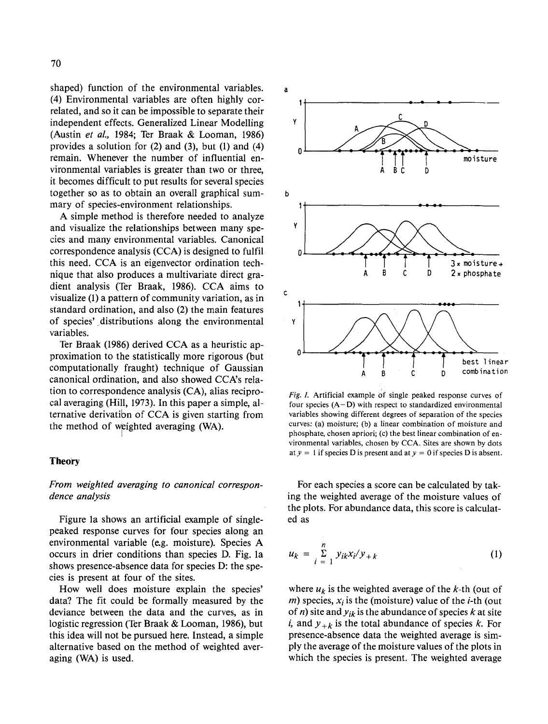shaped) function of the environmental variables. (4) Environmental variables are often highly correlated, and so it can be impossible to separate their independent effects. Generalized Linear Modelling (Austin *et al.,* 1984; Ter Braak & Looman, 1986) provides a solution for (2) and (3), but (1) and (4) remain. Whenever the number of influential environmental variables is greater than two or three, it becomes difficult to put results for several species together so as to obtain an overall graphical summary of species-environment relationships.

A simple method is therefore needed to analyze and visualize the relationships between many species and many environmental variables. Canonical correspondence analysis (CCA) is designed to fulfil this need. CCA is an eigenvector ordination technique that also produces a multivariate direct gradient analysis (Ter Braak, 1986). CCA aims to visualize (I) a pattern of community variation, as in standard ordination, and also (2) the main features of species' distributions along the environmental variables.

Ter Braak (1986) derived CCA as a heuristic approximation to the statistically more rigorous (but computationally fraught) technique of Gaussian canonical ordination, and also showed CCA's relation to correspondence analysis (CA), alias reciprocal averaging (Hill, 1973). In this paper a simple, alternative derivatibn of CCA is given starting from the method of weighted averaging (WA).

I

## **Theo'ry**

# *From weighted averaging to canonical correspondence analysis*

Figure Ia shows an artificial example of singlepeaked response curves for four species along an environmental variable (e.g. moisture). Species A occurs in drier conditions than species D. Fig. Ia shows presence-absence data for species D: the species is present at four of the sites.

How well does moisture explain the species' data? The fit could be formally measured by the deviance between the data and the curves, as in logistic regression (Ter Braak & Looman, 1986), but this idea will not be pursued here. Instead, a simple alternative based on the method of weighted averaging (WA) is used.



*Fig. I.* Artificial example of single peaked response curves of four species  $(A-D)$  with respect to standardized environmental variables showing different degrees of separation of the species curves: (a) moisture; (b) a linear combination of moisture and phosphate, chosen apriori; (c) the best linear combination of environmental variables, chosen by CCA. Sites are shown by dots at  $y = 1$  if species D is present and at  $y = 0$  if species D is absent.

For each species a score can be calculated by taking the weighted average of the moisture values of the plots. For abundance data, this score is calculated as

$$
u_k = \sum_{i=1}^{n} y_{ik} x_i / y_{+k}
$$
 (1)

where  $u_k$  is the weighted average of the  $k$ -th (out of m) species,  $x_i$  is the (moisture) value of the *i*-th (out of *n*) site and  $y_{ik}$  is the abundance of species k at site i, and  $y_{+k}$  is the total abundance of species k. For presence-absence data the weighted average is simply the average of the moisture values of the plots in which the species is present. The weighted average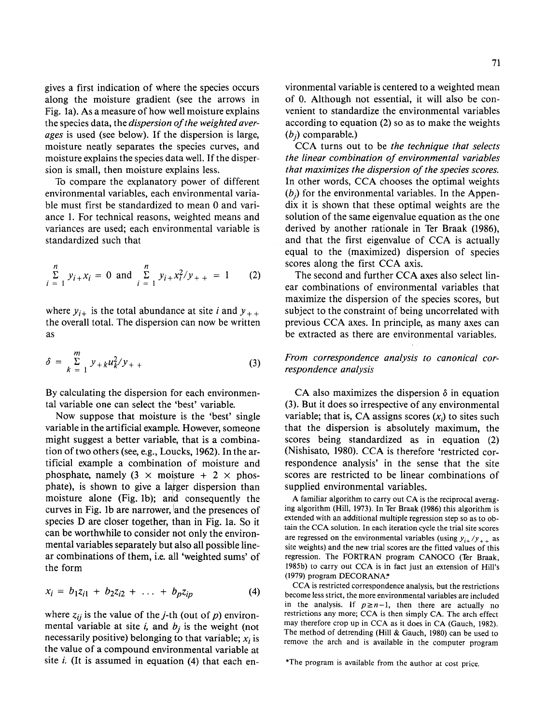71

gives a first indication of where the species occurs along the moisture gradient (see the arrows in Fig. 1a). As a measure of how well moisture explains the species data, the *dispersion of the weighted averages* is used (see below). If the dispersion is large, moisture neatly separates the species curves, and moisture explains the species data well. If the dispersion is small, then moisture explains less.

To compare the explanatory power of different environmental variables, each environmental variable must first be standardized to mean 0 and variance 1. For technical reasons, weighted means and variances are used; each environmental variable is standardized such that

$$
\sum_{i=1}^{n} y_{i+}x_{i} = 0 \text{ and } \sum_{i=1}^{n} y_{i+}x_{i}^{2}/y_{++} = 1 \qquad (2)
$$

where  $y_{i+}$  is the total abundance at site i and  $y_{++}$ the overall total. The dispersion can now be written as

$$
\delta = \sum_{k=1}^{m} y_{+k} u_k^2 / y_{+} \tag{3}
$$

By calculating the dispersion for each environmental variable one can select the 'best' variable.

Now suppose that moisture is the 'best' single variable in the artificial example. However, someone might suggest a better variable, that is a combination of two others (see, e.g., Loucks, 1962). In the artificial example a combination of moisture and phosphate, namely  $(3 \times \text{moisture} + 2 \times \text{phos-}$ phate), is shown to give a larger dispersion than moisture alone (Fig. 1b); and consequently the curves in Fig. 1b are narrower, !and the presences of species D are closer together, than in Fig. 1a. So it can be worthwhile to consider not only the environmental variables separately but also all possible linear combinations of them, i.e. all 'weighted sums' of the form

$$
x_i = b_1 z_{i1} + b_2 z_{i2} + \ldots + b_p z_{ip}
$$
 (4)

where  $z_{ij}$  is the value of the *j*-th (out of *p*) environmental variable at site  $i$ , and  $b<sub>j</sub>$  is the weight (not necessarily positive) belonging to that variable;  $x_i$  is the value of a compound environmental variable at site *i.* (It is assumed in equation (4) that each environmental variable is centered to a weighted mean of 0. Although not essential, it will also be convenient to standardize the environmental variables according to equation (2) so as to make the weights  $(b_i)$  comparable.)

CCA turns out to be *the technique that selects the linear combination of environmental variables that maximizes the dispersion of the species scores.*  In other words, CCA chooses the optimal weights  $(b_i)$  for the environmental variables. In the Appendix it is shown that these optimal weights are the solution of the same eigenvalue equation as the one derived by another rationale in Ter Braak (1986), and that the first eigenvalue of CCA is actually equal to the (maximized) dispersion of species scores along the first CCA axis.

The second and further CCA axes also select linear combinations of environmental variables that maximize the dispersion of the species scores, but subject to the constraint of being uncorrelated with previous CCA axes. In principle, as many axes can be extracted as there are environmental variables.

# *From correspondence analysis to canonical correspondence analysis*

CA also maximizes the dispersion  $\delta$  in equation (3). But it does so irrespective of any environmental variable; that is, CA assigns scores  $(x_i)$  to sites such that the dispersion is absolutely maximum, the scores being standardized as in equation (2) (Nishisato, 1980). CCA is therefore 'restricted correspondence analysis' in the sense that the site scores are restricted to be linear combinations of supplied environmental variables.

A familiar algorithm to carry out CA is the reciprocal averaging algorithm (Hill, 1973). In Ter Braak (1986) this algorithm is extended with an additional multiple regression step so as to obtain the CCA solution. In each iteration cycle the trial site scores are regressed on the environmental variables (using  $y_{i+}/y_{i+}$  as site weights) and the new trial scores are the fitted values of this regression. The FORTRAN program CANOCO (Ter Braak, 1985b) to carry out CCA is in fact just an extension of Hill's (1979) program DECORANA:'

CCA is restricted correspondence analysis, but the restrictions become less strict, the more environmental variables are included in the analysis. If  $p \geq n-1$ , then there are actually no restrictions any more; CCA is then simply CA. The arch effect may therefore crop up in CCA as it does in CA (Gauch, 1982). The method of detrending (Hill & Gauch, 1980) can be used to remove the arch and is available in the computer program

<sup>\*</sup>The program is available from the author at cost price.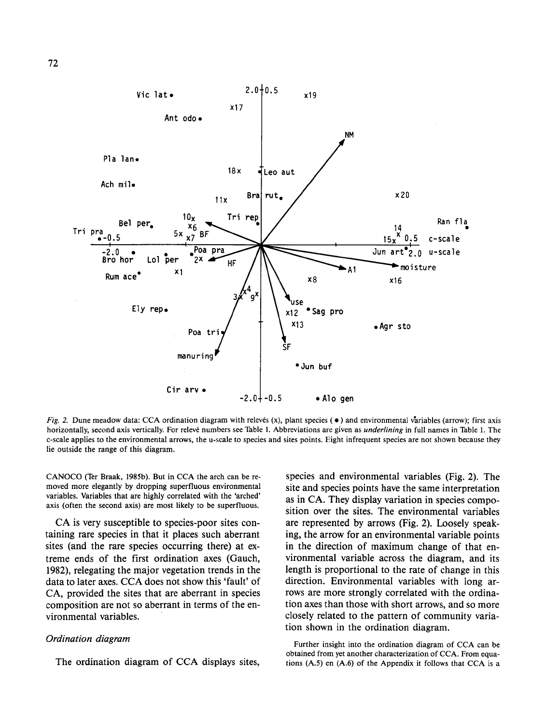

*Fig. 2.* Dune meadow data: CCA ordination diagram with relevés (x), plant species ( $\bullet$ ) and environmental variables (arrow); first axis horizontally, second axis vertically. For releve numbers see Thble I. Abbreviations are given as *underlining* in full names in Table I. The c-scale applies to the environmental arrows, the u-scale to species and sites points. Eight infrequent species are not shown because they lie outside the range of this diagram.

CANOCO (Ter Braak, 1985b). But in CCA the arch can be removed more elegantly by dropping superfluous environmental variables. Variables that are highly correlated with the 'arched' axis (often the second axis) are most likely to be superfluous.

CA is very susceptible to species-poor sites containing rare species in that it places such aberrant sites (and the rare species occurring there) at extreme ends of the first ordination axes (Gauch, 1982), relegating the major vegetation trends in the data to later axes. CCA does not show this 'fault' of CA, provided the sites that are aberrant in species composition are not so aberrant in terms of the environmental variables.

### *Ordination diagram*

The ordination diagram of CCA displays sites,

species and environmental variables (Fig. 2). The site and species points have the same interpretation as in CA. They display variation in species composition over the sites. The environmental variables are represented by arrows (Fig. 2). Loosely speaking, the arrow for an environmental variable points in the direction of maximum change of that environmental variable across the diagram, and its length is proportional to the rate of change in this direction. Environmental variables with long arrows are more strongly correlated with the ordination axes than those with short arrows, and so more closely related to the pattern of community variation shown in the ordination diagram.

Further insight into the ordination diagram of CCA can be obtained from yet another characterization of CCA. From equations (A.5) en (A.6) of the Appendix it follows that CCA is a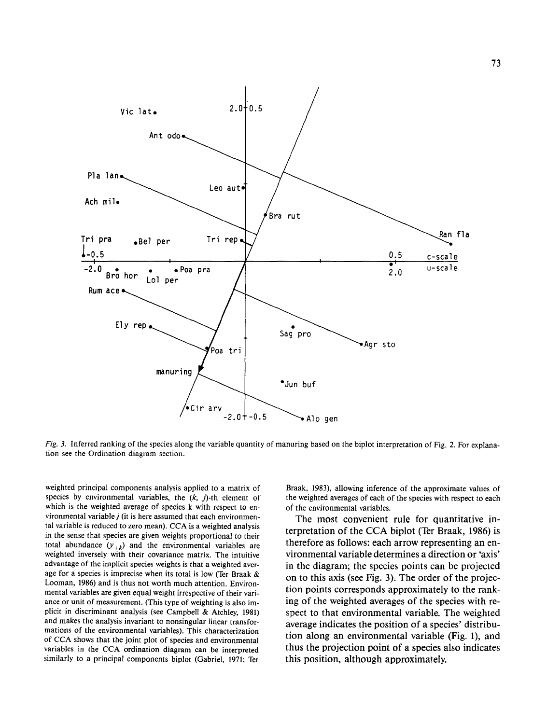

*Fig. 3.* Inferred ranking of the species along the variable quantity of manuring based on the biplot interpretation of Fig. 2. For explanation see the Ordination diagram section.

weighted principal components analysis applied to a matrix of species by environmental variables, the  $(k, j)$ -th element of which is the weighted average of species k with respect to environmental variable  $j$  (it is here assumed that each environmental variable is reduced to zero mean). CCA is a weighted analysis in the sense that species are given weights proportional to their total abundance  $(y_{+k})$  and the environmental variables are weighted inversely with their covariance matrix. The intuitive advantage of the implicit species weights is that a weighted average for a species is imprecise when its total is low (Ter Braak & Looman, 1986) and is thus not worth much attention. Environmental variables are given equal weight irrespective of their variance or unit of measurement. (This type of weighting is also implicit in discriminant analysis (see Campbell & Atchley, 1981) and makes the analysis invariant to nonsingular linear transformations of the environmental variables). This characterization of CCA shows that the joint plot of species and environmental variables in the CCA ordination diagram can be interpreted similarly to a principal components biplot (Gabriel, 1971; Ter

Braak, 1983), allowing inference of the approximate values of the weighted averages of each of the species with respect to each of the environmental variables,

The most convenient rule for quantitative interpretation of the CCA biplot (Ter Braak, 1986) is therefore as follows: each arrow representing an environmental variable determines a direction or 'axis' in the diagram; the species points can be projected on to this axis (see Fig. 3). The order of the projection points corresponds approximately to the ranking of the weighted averages of the species with respect to that environmental variable. The weighted average indicates the position of a species' distribution along an environmental variable (Fig. 1), and thus the projection point of a species also indicates this position, although approximately.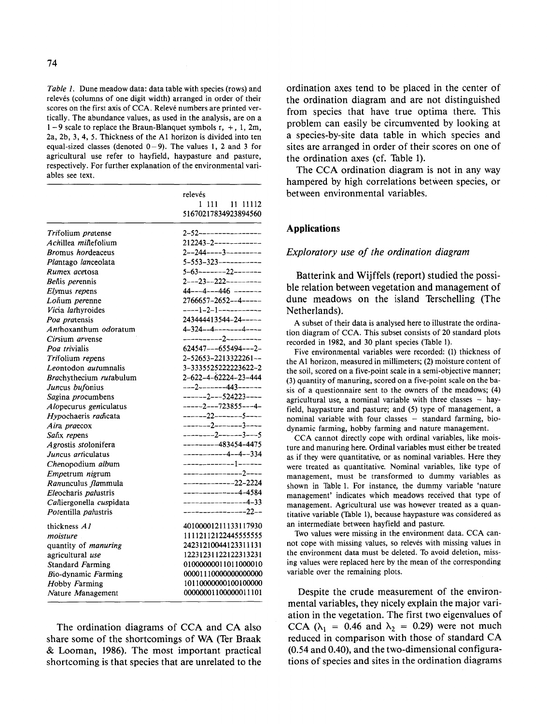*Table 1.* Dune meadow data: data table with species (rows) and relevés (columns of one digit width) arranged in order of their scores on the first axis of CCA. Releve numbers are printed vertically. The abundance values, as used in the analysis, are on a  $1-9$  scale to replace the Braun-Blanquet symbols r,  $+$ , 1, 2m, 2a, 2b, 3, 4, 5. Thickness of the A1 horizon is divided into ten equal-sized classes (denoted  $0-9$ ). The values 1, 2 and 3 for agricultural use refer to hayfield, haypasture and pasture, respectively. For further explanation of the environmental variables see text.

|                             | relevés<br>1 111 11 11112<br>51670217834923894560 |
|-----------------------------|---------------------------------------------------|
|                             |                                                   |
|                             |                                                   |
| Trifolium pratense          | 2-52----------------                              |
| Achillea millefolium        |                                                   |
| <b>Bromus</b> hordeaceus    | $2--244---3------$                                |
| Plantago lanceolata         |                                                   |
| Rumex acetosa               | $5-63$ -------22-------                           |
| Bellis perennis             | $2--23--222---$                                   |
| Elymus repens               | $44 - -4 - -446$ -------                          |
| Lolium perenne              | $2766657 - 2652 - -4 - - - -$                     |
| Vicia lathyroides           | ----1-2-1-----------                              |
| Poa pratensis               | 243444413544-24-----                              |
| Anthoxanthum odoratum       | $4 - 324 - - 4 - - - - - - 4 - - -$               |
| Cirsium arvense             |                                                   |
| Poa trivialis               | $624547--655494---2-$                             |
| Trifolium repens            | 2-52653-2213322261--                              |
| Leontodon autumnalis        | 3-3335525222223622-2                              |
| Brachythecium rutabulum     | 2-622-4-62224-23-444                              |
| Juncus bufonius             | ---2-------443------                              |
| Sagina procumbens           | $---2---524223---$                                |
| Alopecurus geniculatus      | $---2---723855---4-$                              |
| Hypochaeris radicata        | $---22---5---$                                    |
| Aira praecox                | --------2--------3----                            |
| Salix repens                | $-----2---3---5$                                  |
| Agrostis stolonifera        | $-----483454-4475$                                |
| Juncus articulatus          | $------4-4-334$                                   |
| Chenopodium album           |                                                   |
| Empetrum nigrum             | ---------------2----                              |
| Ranunculus flammula         | -------------22-2224                              |
| Eleocharis palustris        | $---------4-4-4584$                               |
| Calliergonella cuspidata    | ----------------4-33                              |
| Potentilla palustris        | ----------------22--                              |
|                             |                                                   |
| thickness A1                | 40100001211133117930                              |
| moisture                    | 11112112122445555555                              |
| quantity of <i>manuring</i> | 24231210044123311131                              |
| agricultural use            | 12231231122122313231                              |
| Standard Farming            | 01000000011011000010                              |
| Bio-dynamic Farming         | 00001110000000000000                              |
| Hobby Farming               | 10110000000100100000                              |
| Nature Management           | 00000001100000011101                              |

The ordination diagrams of CCA and CA also share some of the shortcomings of WA (Ter Braak & Looman, 1986). The most important practical shortcoming is that species that are unrelated to the ordination axes tend to be placed in the center of the ordination diagram and are not distinguished from species that have true optima there. This problem can easily be circumvented by looking at a species-by-site data table in which species and sites are arranged in order of their scores on one of the ordination axes (cf. Table 1).

The CCA ordination diagram is not in any way hampered by high correlations between species, or between environmental variables.

## **Applications**

### *Exploratory use of the ordination diagram*

Batterink and Wijffels (report) studied the possible relation between vegetation and management of dune meadows on the island Terschelling (The Netherlands).

A subset of their data is analysed here to illustrate the ordination diagram of CCA. This subset consists of 20 standard plots recorded in 1982, and 30 plant species (Table 1).

Five environmental variables were recorded: (I) thickness of the A1 horizon, measured in millimeters; (2) moisture content of the soil, scored on a five-point scale in a semi-objective manner; (3) quantity of manuring, scored on a five-point scale on the basis of a questionnaire sent to the owners of the meadows; (4) agricultural use, a nominal variable with three classes  $-$  hayfield, haypasture and pasture; and (5) type of management, a nominal variable with four classes - standard farming, biodynamic farming, hobby farming and nature management.

CCA cannot directly cope with ordinal variables, like moisture and manuring here. Ordinal variables must either be treated as if they were quantitative, or as nominal variables. Here they were treated as quantitative. Nominal variables, like type of management, must be transformed to dummy variables as shown in Table l. For instance, the dummy variable 'nature management' indicates which meadows received that type of management. Agricultural use was however treated as a quantitative variable (Table 1), because haypasture was considered as an intermediate between hayfield and pasture.

Two values were missing in the environment data. CCA cannot cope with missing values, so relevés with missing values in the environment data must be deleted. To avoid deletion, missing values were replaced here by the mean of the corresponding variable over the remaining plots.

Despite the crude measurement of the environmental variables, they nicely explain the major variation in the vegetation. The first two eigenvalues of CCA ( $\lambda_1$  = 0.46 and  $\lambda_2$  = 0.29) were not much reduced in comparison with those of standard CA (0.54 and 0.40), and the two-dimensional configurations of species and sites in the ordination diagrams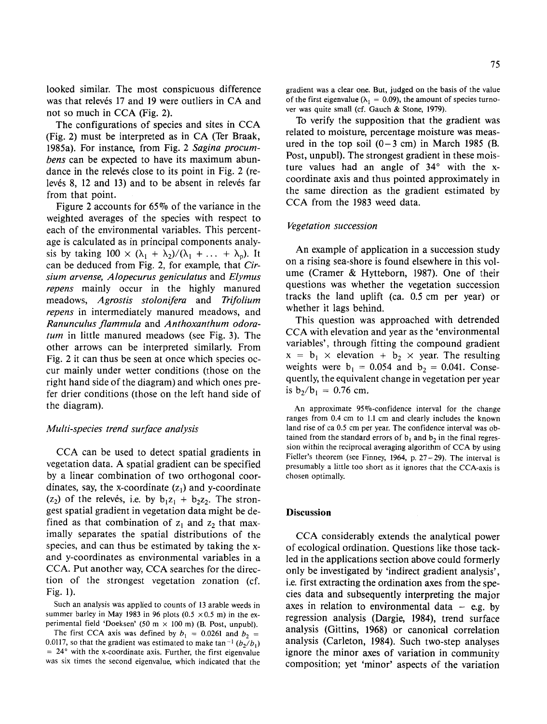looked similar. The most conspicuous difference was that relevés 17 and 19 were outliers in CA and not so much in CCA (Fig. 2).

The configurations of species and sites in CCA (Fig. 2) must be interpreted as in CA (Ter Braak, 1985a). For instance, from Fig. 2 *Sagina procumbens* can be expected to have its maximum abundance in the releves close to its point in Fig. 2 (relevés 8, 12 and 13) and to be absent in relevés far from that point.

Figure 2 accounts for 65% of the variance in the weighted averages of the species with respect to each of the environmental variables. This percentage is calculated as in principal components analysis by taking  $100 \times (\lambda_1 + \lambda_2)/(\lambda_1 + \ldots + \lambda_p)$ . It can be deduced from Fig. 2, for example, that *Cirsium arvense, Alopecurus geniculatus* and *Elymus repens* mainly occur in the highly manured meadows, *Agrostis stolonifera* and *Trifolium repens* in intermediately manured meadows, and *Ranunculus flammula* and *Anthoxanthum odoratum* in little manured meadows (see Fig. 3). The other arrows can be interpreted similarly. From Fig. 2 it can thus be seen at once which species occur mainly under wetter conditions (those on the right hand side of the diagram) and which ones prefer drier conditions (those on the left hand side of the diagram).

#### *Multi-species trend surface analysis*

CCA can be used to detect spatial gradients in vegetation data. A spatial gradient can be specified by a linear combination of two orthogonal coordinates, say, the x-coordinate  $(z_1)$  and y-coordinate (z<sub>2</sub>) of the releves, i.e. by  $b_1z_1 + b_2z_2$ . The strongest spatial gradient in vegetation data might be defined as that combination of  $z_1$  and  $z_2$  that maximally separates the spatial distributions of the species, and can thus be estimated by taking the xand y-coordinates as environmental variables in a CCA. Put another way, CCA searches for the direction of the strongest vegetation zonation (cf. Fig. 1).

Such an analysis was applied to counts of 13 arable weeds in summer barley in May 1983 in 96 plots (0.5  $\times$  0.5 m) in the experimental field 'Doeksen' (50 m  $\times$  100 m) (B. Post, unpubl).

The first CCA axis was defined by  $b_1 = 0.0261$  and  $b_2 =$ 0.0117, so that the gradient was estimated to make tan<sup>-1</sup>  $(b_2/b_1)$  $= 24^{\circ}$  with the x-coordinate axis. Further, the first eigenvalue was six times the second eigenvalue, which indicated that the

gradient was a clear one. But, judged on the basis of the value of the first eigenvalue ( $\lambda_1 = 0.09$ ), the amount of species turnover was quite small (cf. Gauch & Stone, 1979).

To verify the supposition that the gradient was related to moisture, percentage moisture was measured in the top soil  $(0-3 \text{ cm})$  in March 1985 (B. Post, unpubl). The strongest gradient in these moisture values had an angle of  $34^\circ$  with the xcoordinate axis and thus pointed approximately in the same direction as the gradient estimated by CCA from the 1983 weed data.

### *Vegetation succession*

An example of application in a succession study on a rising sea-shore is found elsewhere in this volume (Cramer & Hytteborn, 1987). One of their questions was whether the vegetation succession tracks the land uplift (ca. 0.5 em per year) or whether it lags behind.

This question was approached with detrended CCA with elevation and year as the 'environmental variables', through fitting the compound gradient  $x = b_1 \times$  elevation +  $b_2 \times$  year. The resulting weights were  $b_1 = 0.054$  and  $b_2 = 0.041$ . Consequently, the equivalent change in vegetation per year is  $b_2/b_1 = 0.76$  cm.

An approximate 95%-confidence interval for the change ranges from 0.4 em to 1.1 em and clearly includes the known land rise of ca 0.5 em per year. The confidence interval was obtained from the standard errors of  $b_1$  and  $b_2$  in the final regression within the reciprocal averaging algorithm of CCA by using Fieller's theorem (see Finney, 1964, p.  $27 - 29$ ). The interval is presumably a little too short as it ignores that the CCA-axis is chosen optimally.

#### **Discussion**

CCA considerably extends the analytical power of ecological ordination. Questions like those tackled in the applications section above could formerly only be investigated by 'indirect gradient analysis', i.e. first extracting the ordination axes from the species data and subsequently interpreting the major axes in relation to environmental data  $-$  e.g. by regression analysis (Dargie, 1984), trend surface analysis (Gittins, 1968) or canonical correlation analysis (Carleton, 1984). Such two-step analyses ignore the minor axes of variation in community composition; yet 'minor' aspects of the variation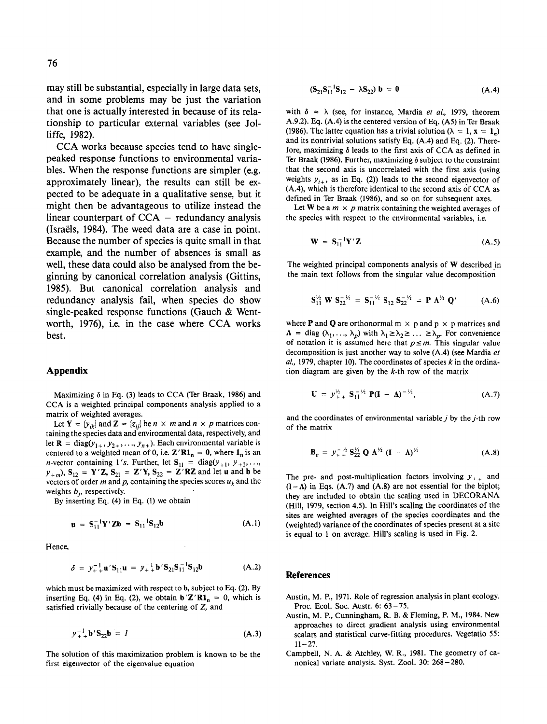may still be substantial, especially in large data sets, and in some problems may be just the variation that one is actually interested in because of its relationship to particular external variables (see Jolliffe, 1982).

CCA works because species tend to have singlepeaked response functions to environmental variables. When the response functions are simpler (e.g. approximately linear), the results can still be expected to be adequate in a qualitative sense, but it might then be advantageous to utilize instead the linear counterpart of  $CCA - redundancy$  analysis (lsraels, 1984). The weed data are a case in point. Because the number of species is quite small in that example, and the number of absences is small as well, these data could also be analysed from the beginning by canonical correlation analysis (Gittins, 1985). But canonical correlation analysis and redundancy analysis fail, when species do show single-peaked response functions (Gauch & Wentworth, 1976), i.e. in the case where CCA works best.

#### **Appendix**

Maximizing  $\delta$  in Eq. (3) leads to CCA (Ter Braak, 1986) and CCA is a weighted principal components analysis applied to a matrix of weighted averages.

Let **Y** =  $\{y_{ik}\}\$ and **Z** =  $\{z_{ij}\}\$ be  $n \times m$  and  $n \times p$  matrices containing the species data and environmental data, respectively, and let **R** = diag( $y_{1+}$ ,  $y_{2+}$ , ...,  $y_{n+}$ ). Each environmental variable is centered to a weighted mean of 0, i.e.  $\mathbf{Z}'\mathbf{R}\mathbf{1}_n = 0$ , where  $\mathbf{1}_n$  is an *n*-vector containing 1's. Further, let  $S_{11} = diag(y_{+1}, y_{+2}, \ldots, y_{n})$  $y_{+m}$ ,  $S_{12} = Y'Z$ ,  $S_{21} = Z'Y$ ,  $S_{22} = Z'RZ$  and let u and b be vectors of order m and p, containing the species scores  $u_k$  and the weights  $b_i$ , respectively.

By inserting Eq. (4) in Eq. (1) we obtain

$$
\mathbf{u} = \mathbf{S}_{11}^{-1} \mathbf{Y}' \mathbf{Z} \mathbf{b} = \mathbf{S}_{11}^{-1} \mathbf{S}_{12} \mathbf{b}
$$
 (A.1)

Hence,

$$
\delta = y_{++}^{-1} \mathbf{u}' \mathbf{S}_{11} \mathbf{u} = y_{++}^{-1} \mathbf{b}' \mathbf{S}_{21} \mathbf{S}_{11}^{-1} \mathbf{S}_{12} \mathbf{b}
$$
 (A.2)

which must be maximized with respect to b, subject to Eq. (2). By inserting Eq. (4) in Eq. (2), we obtain  $\mathbf{b}'\mathbf{Z}'\mathbf{R}\mathbf{1}_{\mathbf{n}}=0$ , which is satisfied trivially because of the centering of Z, and

$$
y_{+}^{-1} b' S_{22} b = I
$$
 (A.3)

The solution of this maximization problem is known to be the first eigenvector of the eigenvalue equation

$$
(\mathbf{S}_{21}\mathbf{S}_{11}^{-1}\mathbf{S}_{12} - \lambda \mathbf{S}_{22}) \mathbf{b} = 0 \tag{A.4}
$$

with  $\delta = \lambda$  (see, for instance, Mardia *et al.*, 1979, theorem A.9.2). Eq.  $(A.4)$  is the centered version of Eq.  $(A5)$  in Ter Braak (1986). The latter equation has a trivial solution ( $\lambda = 1$ ,  $x = 1_n$ ) and its nontrivial solutions satisfy Eq. (A.4) and Eq. (2). Therefore, maximizing  $\delta$  leads to the first axis of CCA as defined in Ter Braak (1986). Further, maximizing  $\delta$  subject to the constraint that the second axis is uncorrelated with the first axis (using weights  $y_{i+}$ , as in Eq. (2)) leads to the second eigenvector of (A.4), which is therefore identical to the second axis of CCA as defined in Ter Braak (1986), and so on for subsequent axes.

Let W be a  $m \times p$  matrix containing the weighted averages of the species with respect to the environmental variables, i.e.

$$
\mathbf{W} = \mathbf{S}_{11}^{-1} \mathbf{Y}' \mathbf{Z} \tag{A.5}
$$

The weighted principal components analysis of W described in the main text follows from the singular value decomposition

$$
S_{11}^{\frac{1}{2}} W S_{22}^{-\frac{1}{2}} = S_{11}^{-\frac{1}{2}} S_{12} S_{22}^{-\frac{1}{2}} = P \Lambda^{\frac{1}{2}} Q' \qquad (A.6)
$$

where **P** and **Q** are orthonormal  $m \times p$  and  $p \times p$  matrices and  $\Lambda = \text{diag } (\lambda_1, \ldots, \lambda_p)$  with  $\lambda_1 \geq \lambda_2 \geq \ldots \geq \lambda_p$ . For convenience of notation it is assumed here that  $p \leq m$ . This singular value decomposition is just another way to solve (A.4) (see Mardia *et*  al., 1979, chapter 10). The coordinates of species  $k$  in the ordination diagram are given by the  $k$ -th row of the matrix

$$
\mathbf{U} = y_{++}^{1/2} \mathbf{S}_{11}^{-1/2} \mathbf{P} (\mathbf{I} - \mathbf{\Lambda})^{-1/2}, \tag{A.7}
$$

and the coordinates of environmental variable  $i$  by the  $i$ -th row of the matrix

$$
\mathbf{B}_e = y_+^{-1/2} \mathbf{S}_{22}^{1/2} \mathbf{Q} \mathbf{\Lambda}^{1/2} (\mathbf{I} - \mathbf{\Lambda})^{1/2}
$$
 (A.8)

The pre- and post-multiplication factors involving  $y_{++}$  and  $(I - A)$  in Eqs. (A.7) and (A.8) are not essential for the biplot; they are included to obtain the scaling used in DECORANA (Hill, 1979, section 4.5). In Hill's scaling the coordinates of the sites are weighted averages of the species coordinates and the (weighted) variance of the coordinates of species present at a site is equal to 1 on average. Hill's scaling is used in Fig. 2.

#### References

- Austin, M. P., 1971. Role of regression analysis in plant ecology. Proc. Ecol. Soc. Austr. 6: 63-75.
- Austin, M. P., Cunningham, R. B. & Fleming, P. M., 1984. New approaches to direct gradient analysis using environmental scalars and statistical curve-fitting procedures. Vegetatio 55:  $11 - 27$ .
- Campbell, N. A. & Atchley, W. R., 1981. The geometry of canonical variate analysis. Syst. Zoo!. 30: 268-280.